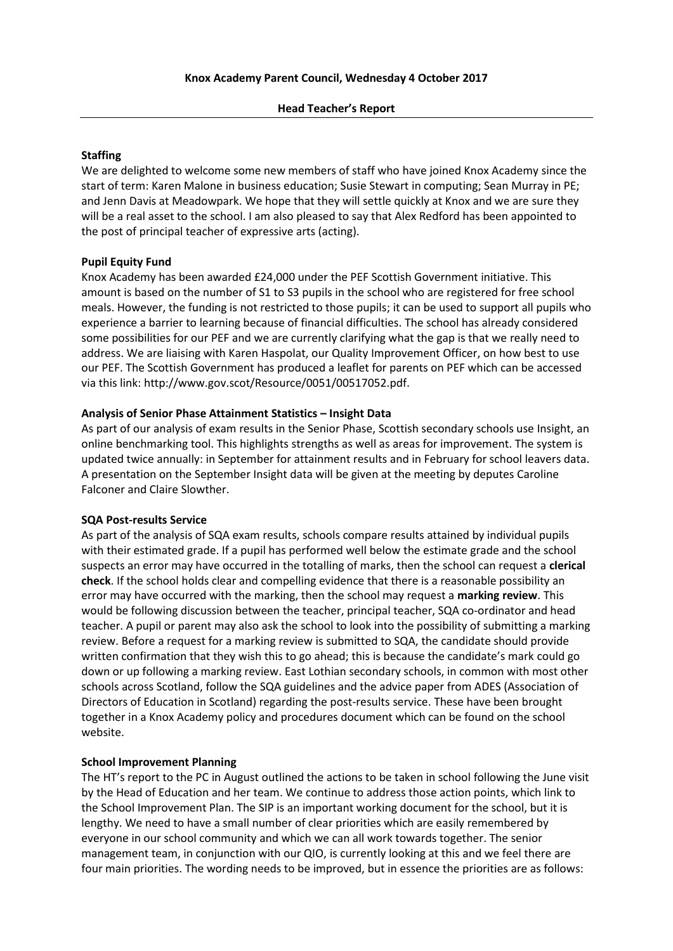#### **Staffing**

We are delighted to welcome some new members of staff who have joined Knox Academy since the start of term: Karen Malone in business education; Susie Stewart in computing; Sean Murray in PE; and Jenn Davis at Meadowpark. We hope that they will settle quickly at Knox and we are sure they will be a real asset to the school. I am also pleased to say that Alex Redford has been appointed to the post of principal teacher of expressive arts (acting).

# **Pupil Equity Fund**

Knox Academy has been awarded £24,000 under the PEF Scottish Government initiative. This amount is based on the number of S1 to S3 pupils in the school who are registered for free school meals. However, the funding is not restricted to those pupils; it can be used to support all pupils who experience a barrier to learning because of financial difficulties. The school has already considered some possibilities for our PEF and we are currently clarifying what the gap is that we really need to address. We are liaising with Karen Haspolat, our Quality Improvement Officer, on how best to use our PEF. The Scottish Government has produced a leaflet for parents on PEF which can be accessed via this link: http://www.gov.scot/Resource/0051/00517052.pdf.

#### **Analysis of Senior Phase Attainment Statistics – Insight Data**

As part of our analysis of exam results in the Senior Phase, Scottish secondary schools use Insight, an online benchmarking tool. This highlights strengths as well as areas for improvement. The system is updated twice annually: in September for attainment results and in February for school leavers data. A presentation on the September Insight data will be given at the meeting by deputes Caroline Falconer and Claire Slowther.

#### **SQA Post-results Service**

As part of the analysis of SQA exam results, schools compare results attained by individual pupils with their estimated grade. If a pupil has performed well below the estimate grade and the school suspects an error may have occurred in the totalling of marks, then the school can request a **clerical check**. If the school holds clear and compelling evidence that there is a reasonable possibility an error may have occurred with the marking, then the school may request a **marking review**. This would be following discussion between the teacher, principal teacher, SQA co-ordinator and head teacher. A pupil or parent may also ask the school to look into the possibility of submitting a marking review. Before a request for a marking review is submitted to SQA, the candidate should provide written confirmation that they wish this to go ahead; this is because the candidate's mark could go down or up following a marking review. East Lothian secondary schools, in common with most other schools across Scotland, follow the SQA guidelines and the advice paper from ADES (Association of Directors of Education in Scotland) regarding the post-results service. These have been brought together in a Knox Academy policy and procedures document which can be found on the school website.

# **School Improvement Planning**

The HT's report to the PC in August outlined the actions to be taken in school following the June visit by the Head of Education and her team. We continue to address those action points, which link to the School Improvement Plan. The SIP is an important working document for the school, but it is lengthy. We need to have a small number of clear priorities which are easily remembered by everyone in our school community and which we can all work towards together. The senior management team, in conjunction with our QIO, is currently looking at this and we feel there are four main priorities. The wording needs to be improved, but in essence the priorities are as follows: